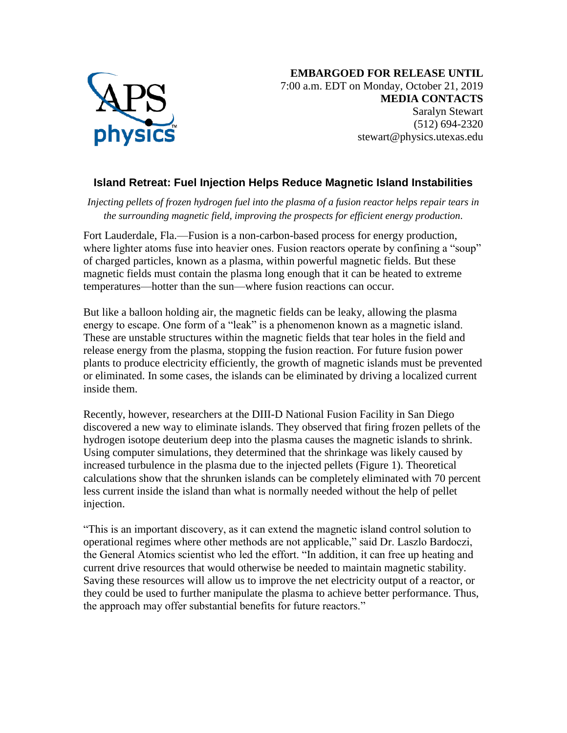

## **Island Retreat: Fuel Injection Helps Reduce Magnetic Island Instabilities**

*Injecting pellets of frozen hydrogen fuel into the plasma of a fusion reactor helps repair tears in the surrounding magnetic field, improving the prospects for efficient energy production.*

Fort Lauderdale, Fla.—Fusion is a non-carbon-based process for energy production, where lighter atoms fuse into heavier ones. Fusion reactors operate by confining a "soup" of charged particles, known as a plasma, within powerful magnetic fields. But these magnetic fields must contain the plasma long enough that it can be heated to extreme temperatures—hotter than the sun—where fusion reactions can occur.

But like a balloon holding air, the magnetic fields can be leaky, allowing the plasma energy to escape. One form of a "leak" is a phenomenon known as a magnetic island. These are unstable structures within the magnetic fields that tear holes in the field and release energy from the plasma, stopping the fusion reaction. For future fusion power plants to produce electricity efficiently, the growth of magnetic islands must be prevented or eliminated. In some cases, the islands can be eliminated by driving a localized current inside them.

Recently, however, researchers at the DIII-D National Fusion Facility in San Diego discovered a new way to eliminate islands. They observed that firing frozen pellets of the hydrogen isotope deuterium deep into the plasma causes the magnetic islands to shrink. Using computer simulations, they determined that the shrinkage was likely caused by increased turbulence in the plasma due to the injected pellets (Figure 1). Theoretical calculations show that the shrunken islands can be completely eliminated with 70 percent less current inside the island than what is normally needed without the help of pellet injection.

"This is an important discovery, as it can extend the magnetic island control solution to operational regimes where other methods are not applicable," said Dr. Laszlo Bardoczi, the General Atomics scientist who led the effort. "In addition, it can free up heating and current drive resources that would otherwise be needed to maintain magnetic stability. Saving these resources will allow us to improve the net electricity output of a reactor, or they could be used to further manipulate the plasma to achieve better performance. Thus, the approach may offer substantial benefits for future reactors."